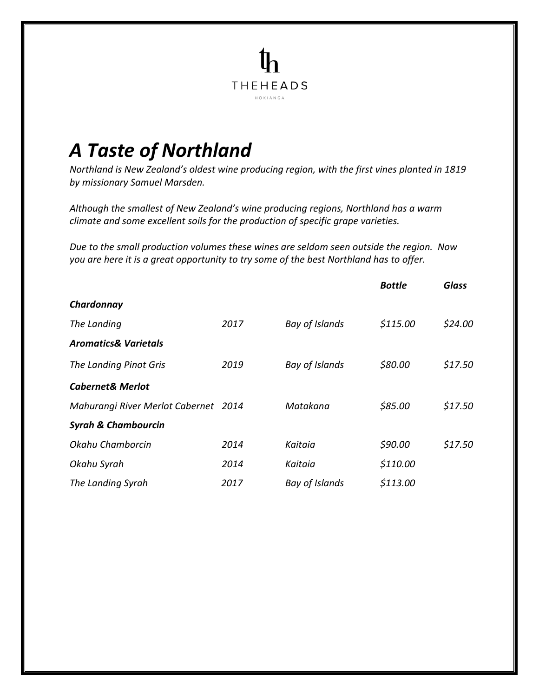## *A Taste of Northland*

*Northland is New Zealand's oldest wine producing region, with the first vines planted in 1819 by missionary Samuel Marsden.*

**THEHEADS**  $H O K I A N G A$ 

*Although the smallest of New Zealand's wine producing regions, Northland has a warm climate and some excellent soils for the production of specific grape varieties.*

*Due to the small production volumes these wines are seldom seen outside the region. Now you are here it is a great opportunity to try some of the best Northland has to offer.*

|                                      |      |                | <b>Bottle</b> | <b>Glass</b> |
|--------------------------------------|------|----------------|---------------|--------------|
| Chardonnay                           |      |                |               |              |
| The Landing                          | 2017 | Bay of Islands | \$115.00      | \$24.00      |
| <b>Aromatics&amp; Varietals</b>      |      |                |               |              |
| The Landing Pinot Gris               | 2019 | Bay of Islands | \$80.00       | \$17.50      |
| <b>Cabernet&amp; Merlot</b>          |      |                |               |              |
| Mahurangi River Merlot Cabernet 2014 |      | Matakana       | \$85.00       | \$17.50      |
| <b>Syrah &amp; Chambourcin</b>       |      |                |               |              |
| Okahu Chamborcin                     | 2014 | Kaitaia        | \$90.00       | \$17.50      |
| Okahu Syrah                          | 2014 | Kaitaia        | \$110.00      |              |
| The Landing Syrah                    | 2017 | Bay of Islands | \$113.00      |              |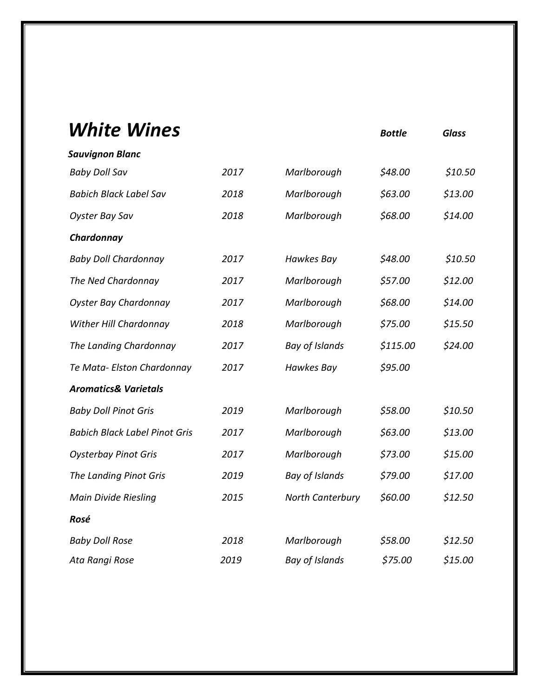| <i><b>White Wines</b></i>            |      |                         | <b>Bottle</b> | <b>Glass</b> |
|--------------------------------------|------|-------------------------|---------------|--------------|
| <b>Sauvignon Blanc</b>               |      |                         |               |              |
| <b>Baby Doll Sav</b>                 | 2017 | Marlborough             | \$48.00       | \$10.50      |
| <b>Babich Black Label Sav</b>        | 2018 | Marlborough             | \$63.00       | \$13.00      |
| <b>Oyster Bay Sav</b>                | 2018 | Marlborough             | \$68.00       | \$14.00      |
| Chardonnay                           |      |                         |               |              |
| <b>Baby Doll Chardonnay</b>          | 2017 | <b>Hawkes Bay</b>       | \$48.00       | \$10.50      |
| The Ned Chardonnay                   | 2017 | Marlborough             | \$57.00       | \$12.00      |
| <b>Oyster Bay Chardonnay</b>         | 2017 | Marlborough             | \$68.00       | \$14.00      |
| Wither Hill Chardonnay               | 2018 | Marlborough             | \$75.00       | \$15.50      |
| The Landing Chardonnay               | 2017 | <b>Bay of Islands</b>   | \$115.00      | \$24.00      |
| Te Mata- Elston Chardonnay           | 2017 | <b>Hawkes Bay</b>       | \$95.00       |              |
| <b>Aromatics&amp; Varietals</b>      |      |                         |               |              |
| <b>Baby Doll Pinot Gris</b>          | 2019 | Marlborough             | \$58.00       | \$10.50      |
| <b>Babich Black Label Pinot Gris</b> | 2017 | Marlborough             | \$63.00       | \$13.00      |
| <b>Oysterbay Pinot Gris</b>          | 2017 | Marlborough             | \$73.00       | \$15.00      |
| The Landing Pinot Gris               | 2019 | <b>Bay of Islands</b>   | \$79.00       | \$17.00      |
| <b>Main Divide Riesling</b>          | 2015 | <b>North Canterbury</b> | \$60.00       | \$12.50      |
| Rosé                                 |      |                         |               |              |
| <b>Baby Doll Rose</b>                | 2018 | Marlborough             | \$58.00       | \$12.50      |
| Ata Rangi Rose                       | 2019 | <b>Bay of Islands</b>   | \$75.00       | \$15.00      |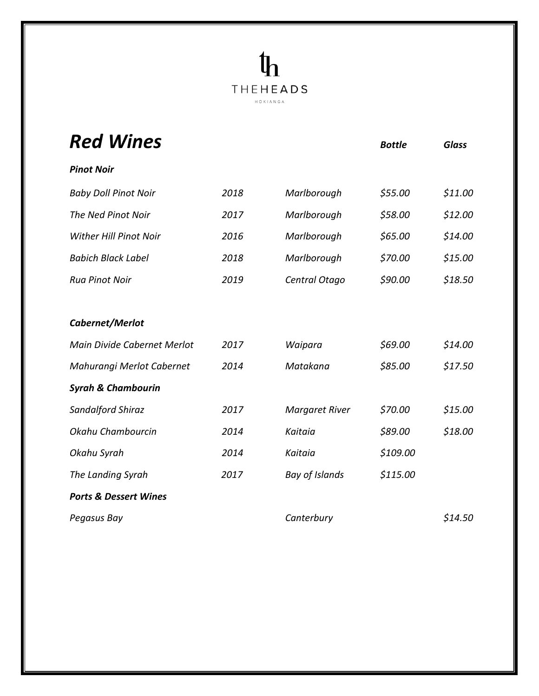## $\mathbf{q}_1$ **THEHEADS**  $\begin{array}{l} \mathsf{H}\ \mathsf{O}\ \mathsf{K}\ \mathsf{I}\ \mathsf{A}\ \mathsf{N}\ \mathsf{G}\ \mathsf{A} \end{array}$

| <b>Red Wines</b>                 |      |                       | <b>Bottle</b> | <b>Glass</b> |
|----------------------------------|------|-----------------------|---------------|--------------|
| <b>Pinot Noir</b>                |      |                       |               |              |
| <b>Baby Doll Pinot Noir</b>      | 2018 | Marlborough           | \$55.00       | \$11.00      |
| The Ned Pinot Noir               | 2017 | Marlborough           | \$58.00       | \$12.00      |
| <b>Wither Hill Pinot Noir</b>    | 2016 | Marlborough           | \$65.00       | \$14.00      |
| <b>Babich Black Label</b>        | 2018 | Marlborough           | \$70.00       | \$15.00      |
| <b>Rua Pinot Noir</b>            | 2019 | Central Otago         | \$90.00       | \$18.50      |
|                                  |      |                       |               |              |
| Cabernet/Merlot                  |      |                       |               |              |
| Main Divide Cabernet Merlot      | 2017 | Waipara               | \$69.00       | \$14.00      |
| Mahurangi Merlot Cabernet        | 2014 | Matakana              | \$85.00       | \$17.50      |
| <b>Syrah &amp; Chambourin</b>    |      |                       |               |              |
| Sandalford Shiraz                | 2017 | <b>Margaret River</b> | \$70.00       | \$15.00      |
| Okahu Chambourcin                | 2014 | Kaitaia               | \$89.00       | \$18.00      |
| Okahu Syrah                      | 2014 | Kaitaia               | \$109.00      |              |
| The Landing Syrah                | 2017 | Bay of Islands        | \$115.00      |              |
| <b>Ports &amp; Dessert Wines</b> |      |                       |               |              |
| Pegasus Bay                      |      | Canterbury            |               | \$14.50      |